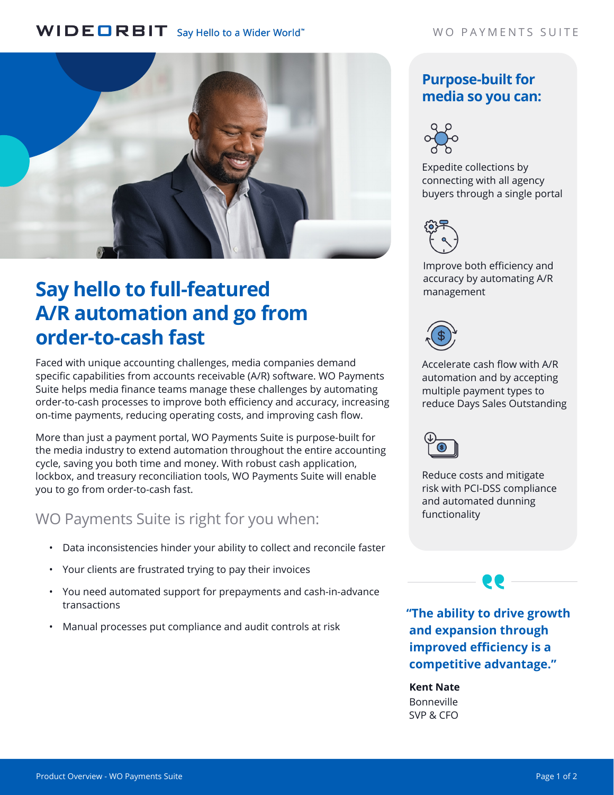## WIDEORBIT Say Hello to a Wider World"



# **Say hello to full-featured A/R automation and go from order-to-cash fast**

Faced with unique accounting challenges, media companies demand specific capabilities from accounts receivable (A/R) software. WO Payments Suite helps media finance teams manage these challenges by automating order-to-cash processes to improve both efficiency and accuracy, increasing on-time payments, reducing operating costs, and improving cash flow.

More than just a payment portal, WO Payments Suite is purpose-built for the media industry to extend automation throughout the entire accounting cycle, saving you both time and money. With robust cash application, lockbox, and treasury reconciliation tools, WO Payments Suite will enable you to go from order-to-cash fast.

WO Payments Suite is right for you when:

- Data inconsistencies hinder your ability to collect and reconcile faster
- Your clients are frustrated trying to pay their invoices
- You need automated support for prepayments and cash-in-advance transactions
- Manual processes put compliance and audit controls at risk

## **Purpose-built for media so you can:**



connecting with all agency buyers through a single portal



Improve both efficiency and accuracy by automating A/R management



Accelerate cash flow with A/R automation and by accepting multiple payment types to reduce Days Sales Outstanding



Reduce costs and mitigate risk with PCI-DSS compliance and automated dunning functionality

**"The ability to drive growth and expansion through improved efficiency is a competitive advantage."**

**Kent Nate** Bonneville SVP & CFO